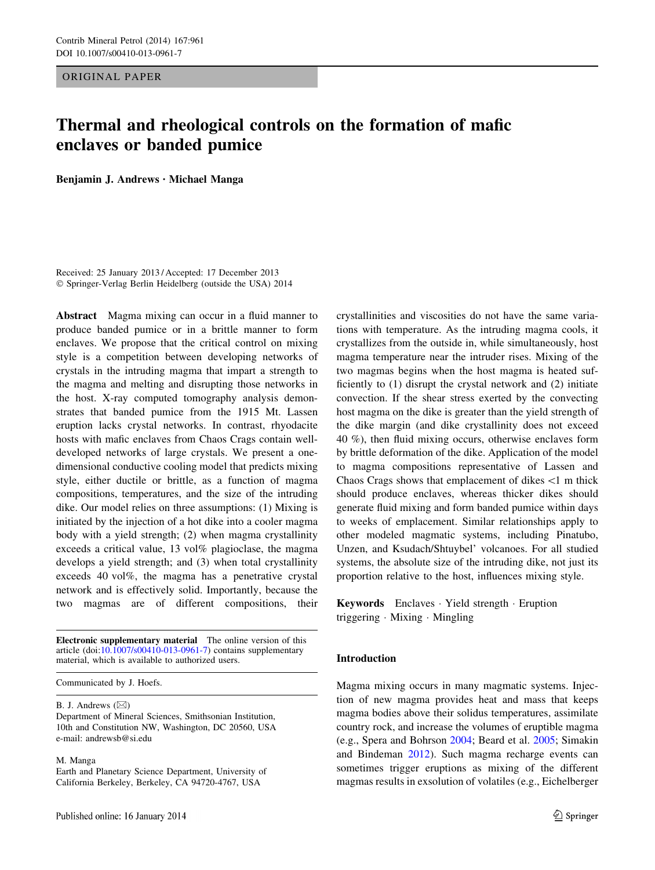ORIGINAL PAPER

# Thermal and rheological controls on the formation of mafic enclaves or banded pumice

Benjamin J. Andrews • Michael Manga

Received: 25 January 2013 / Accepted: 17 December 2013 - Springer-Verlag Berlin Heidelberg (outside the USA) 2014

Abstract Magma mixing can occur in a fluid manner to produce banded pumice or in a brittle manner to form enclaves. We propose that the critical control on mixing style is a competition between developing networks of crystals in the intruding magma that impart a strength to the magma and melting and disrupting those networks in the host. X-ray computed tomography analysis demonstrates that banded pumice from the 1915 Mt. Lassen eruption lacks crystal networks. In contrast, rhyodacite hosts with mafic enclaves from Chaos Crags contain welldeveloped networks of large crystals. We present a onedimensional conductive cooling model that predicts mixing style, either ductile or brittle, as a function of magma compositions, temperatures, and the size of the intruding dike. Our model relies on three assumptions: (1) Mixing is initiated by the injection of a hot dike into a cooler magma body with a yield strength; (2) when magma crystallinity exceeds a critical value, 13 vol% plagioclase, the magma develops a yield strength; and (3) when total crystallinity exceeds 40 vol%, the magma has a penetrative crystal network and is effectively solid. Importantly, because the two magmas are of different compositions, their

Electronic supplementary material The online version of this article (doi:[10.1007/s00410-013-0961-7\)](http://dx.doi.org/10.1007/s00410-013-0961-7) contains supplementary material, which is available to authorized users.

Communicated by J. Hoefs.

B. J. Andrews  $(\boxtimes)$ 

Department of Mineral Sciences, Smithsonian Institution, 10th and Constitution NW, Washington, DC 20560, USA e-mail: andrewsb@si.edu

M. Manga

Earth and Planetary Science Department, University of California Berkeley, Berkeley, CA 94720-4767, USA

crystallinities and viscosities do not have the same variations with temperature. As the intruding magma cools, it crystallizes from the outside in, while simultaneously, host magma temperature near the intruder rises. Mixing of the two magmas begins when the host magma is heated sufficiently to (1) disrupt the crystal network and (2) initiate convection. If the shear stress exerted by the convecting host magma on the dike is greater than the yield strength of the dike margin (and dike crystallinity does not exceed 40 %), then fluid mixing occurs, otherwise enclaves form by brittle deformation of the dike. Application of the model to magma compositions representative of Lassen and Chaos Crags shows that emplacement of dikes  $\leq 1$  m thick should produce enclaves, whereas thicker dikes should generate fluid mixing and form banded pumice within days to weeks of emplacement. Similar relationships apply to other modeled magmatic systems, including Pinatubo, Unzen, and Ksudach/Shtuybel' volcanoes. For all studied systems, the absolute size of the intruding dike, not just its proportion relative to the host, influences mixing style.

Keywords Enclaves - Yield strength - Eruption triggering - Mixing - Mingling

## Introduction

Magma mixing occurs in many magmatic systems. Injection of new magma provides heat and mass that keeps magma bodies above their solidus temperatures, assimilate country rock, and increase the volumes of eruptible magma (e.g., Spera and Bohrson [2004](#page-15-0); Beard et al. [2005](#page-13-0); Simakin and Bindeman [2012](#page-15-0)). Such magma recharge events can sometimes trigger eruptions as mixing of the different magmas results in exsolution of volatiles (e.g., Eichelberger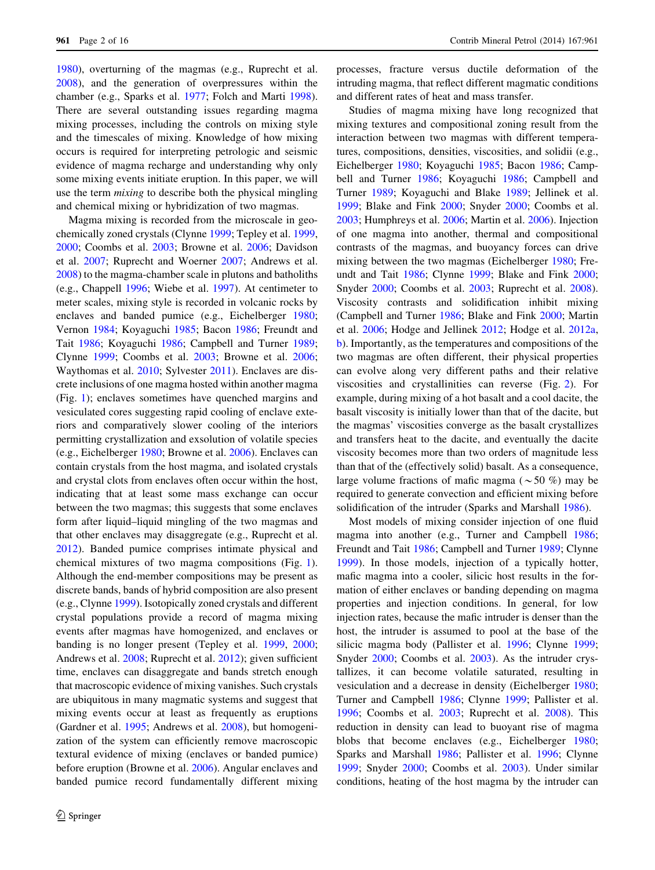[1980\)](#page-14-0), overturning of the magmas (e.g., Ruprecht et al. [2008\)](#page-15-0), and the generation of overpressures within the chamber (e.g., Sparks et al. [1977](#page-15-0); Folch and Marti [1998](#page-14-0)). There are several outstanding issues regarding magma mixing processes, including the controls on mixing style and the timescales of mixing. Knowledge of how mixing occurs is required for interpreting petrologic and seismic evidence of magma recharge and understanding why only some mixing events initiate eruption. In this paper, we will use the term mixing to describe both the physical mingling and chemical mixing or hybridization of two magmas.

Magma mixing is recorded from the microscale in geochemically zoned crystals (Clynne [1999](#page-14-0); Tepley et al. [1999,](#page-15-0) [2000;](#page-15-0) Coombs et al. [2003;](#page-14-0) Browne et al. [2006](#page-13-0); Davidson et al. [2007](#page-14-0); Ruprecht and Woerner [2007](#page-15-0); Andrews et al. [2008\)](#page-13-0) to the magma-chamber scale in plutons and batholiths (e.g., Chappell [1996](#page-13-0); Wiebe et al. [1997](#page-15-0)). At centimeter to meter scales, mixing style is recorded in volcanic rocks by enclaves and banded pumice (e.g., Eichelberger [1980](#page-14-0); Vernon [1984](#page-15-0); Koyaguchi [1985](#page-14-0); Bacon [1986;](#page-13-0) Freundt and Tait [1986](#page-14-0); Koyaguchi [1986](#page-14-0); Campbell and Turner [1989](#page-13-0); Clynne [1999;](#page-14-0) Coombs et al. [2003](#page-14-0); Browne et al. [2006](#page-13-0); Waythomas et al. [2010;](#page-15-0) Sylvester [2011\)](#page-15-0). Enclaves are discrete inclusions of one magma hosted within another magma (Fig. [1](#page-2-0)); enclaves sometimes have quenched margins and vesiculated cores suggesting rapid cooling of enclave exteriors and comparatively slower cooling of the interiors permitting crystallization and exsolution of volatile species (e.g., Eichelberger [1980](#page-14-0); Browne et al. [2006](#page-13-0)). Enclaves can contain crystals from the host magma, and isolated crystals and crystal clots from enclaves often occur within the host, indicating that at least some mass exchange can occur between the two magmas; this suggests that some enclaves form after liquid–liquid mingling of the two magmas and that other enclaves may disaggregate (e.g., Ruprecht et al. [2012\)](#page-15-0). Banded pumice comprises intimate physical and chemical mixtures of two magma compositions (Fig. [1](#page-2-0)). Although the end-member compositions may be present as discrete bands, bands of hybrid composition are also present (e.g., Clynne [1999\)](#page-14-0). Isotopically zoned crystals and different crystal populations provide a record of magma mixing events after magmas have homogenized, and enclaves or banding is no longer present (Tepley et al. [1999](#page-15-0), [2000](#page-15-0); Andrews et al. [2008;](#page-13-0) Ruprecht et al. [2012](#page-15-0)); given sufficient time, enclaves can disaggregate and bands stretch enough that macroscopic evidence of mixing vanishes. Such crystals are ubiquitous in many magmatic systems and suggest that mixing events occur at least as frequently as eruptions (Gardner et al. [1995](#page-14-0); Andrews et al. [2008](#page-13-0)), but homogenization of the system can efficiently remove macroscopic textural evidence of mixing (enclaves or banded pumice) before eruption (Browne et al. [2006](#page-13-0)). Angular enclaves and banded pumice record fundamentally different mixing

processes, fracture versus ductile deformation of the intruding magma, that reflect different magmatic conditions and different rates of heat and mass transfer.

Studies of magma mixing have long recognized that mixing textures and compositional zoning result from the interaction between two magmas with different temperatures, compositions, densities, viscosities, and solidii (e.g., Eichelberger [1980](#page-14-0); Koyaguchi [1985;](#page-14-0) Bacon [1986;](#page-13-0) Campbell and Turner [1986](#page-13-0); Koyaguchi [1986](#page-14-0); Campbell and Turner [1989;](#page-13-0) Koyaguchi and Blake [1989;](#page-14-0) Jellinek et al. [1999](#page-14-0); Blake and Fink [2000;](#page-13-0) Snyder [2000](#page-15-0); Coombs et al. [2003](#page-14-0); Humphreys et al. [2006;](#page-14-0) Martin et al. [2006](#page-14-0)). Injection of one magma into another, thermal and compositional contrasts of the magmas, and buoyancy forces can drive mixing between the two magmas (Eichelberger [1980;](#page-14-0) Freundt and Tait [1986;](#page-14-0) Clynne [1999](#page-14-0); Blake and Fink [2000](#page-13-0); Snyder [2000](#page-15-0); Coombs et al. [2003;](#page-14-0) Ruprecht et al. [2008](#page-15-0)). Viscosity contrasts and solidification inhibit mixing (Campbell and Turner [1986;](#page-13-0) Blake and Fink [2000](#page-13-0); Martin et al. [2006;](#page-14-0) Hodge and Jellinek [2012;](#page-14-0) Hodge et al. [2012a,](#page-14-0) [b](#page-14-0)). Importantly, as the temperatures and compositions of the two magmas are often different, their physical properties can evolve along very different paths and their relative viscosities and crystallinities can reverse (Fig. [2](#page-2-0)). For example, during mixing of a hot basalt and a cool dacite, the basalt viscosity is initially lower than that of the dacite, but the magmas' viscosities converge as the basalt crystallizes and transfers heat to the dacite, and eventually the dacite viscosity becomes more than two orders of magnitude less than that of the (effectively solid) basalt. As a consequence, large volume fractions of mafic magma ( $\sim$  50 %) may be required to generate convection and efficient mixing before solidification of the intruder (Sparks and Marshall [1986](#page-15-0)).

Most models of mixing consider injection of one fluid magma into another (e.g., Turner and Campbell [1986](#page-15-0); Freundt and Tait [1986;](#page-14-0) Campbell and Turner [1989;](#page-13-0) Clynne [1999](#page-14-0)). In those models, injection of a typically hotter, mafic magma into a cooler, silicic host results in the formation of either enclaves or banding depending on magma properties and injection conditions. In general, for low injection rates, because the mafic intruder is denser than the host, the intruder is assumed to pool at the base of the silicic magma body (Pallister et al. [1996;](#page-14-0) Clynne [1999](#page-14-0); Snyder [2000](#page-15-0); Coombs et al. [2003](#page-14-0)). As the intruder crystallizes, it can become volatile saturated, resulting in vesiculation and a decrease in density (Eichelberger [1980](#page-14-0); Turner and Campbell [1986](#page-15-0); Clynne [1999](#page-14-0); Pallister et al. [1996](#page-14-0); Coombs et al. [2003](#page-14-0); Ruprecht et al. [2008\)](#page-15-0). This reduction in density can lead to buoyant rise of magma blobs that become enclaves (e.g., Eichelberger [1980](#page-14-0); Sparks and Marshall [1986;](#page-15-0) Pallister et al. [1996;](#page-14-0) Clynne [1999](#page-14-0); Snyder [2000](#page-15-0); Coombs et al. [2003\)](#page-14-0). Under similar conditions, heating of the host magma by the intruder can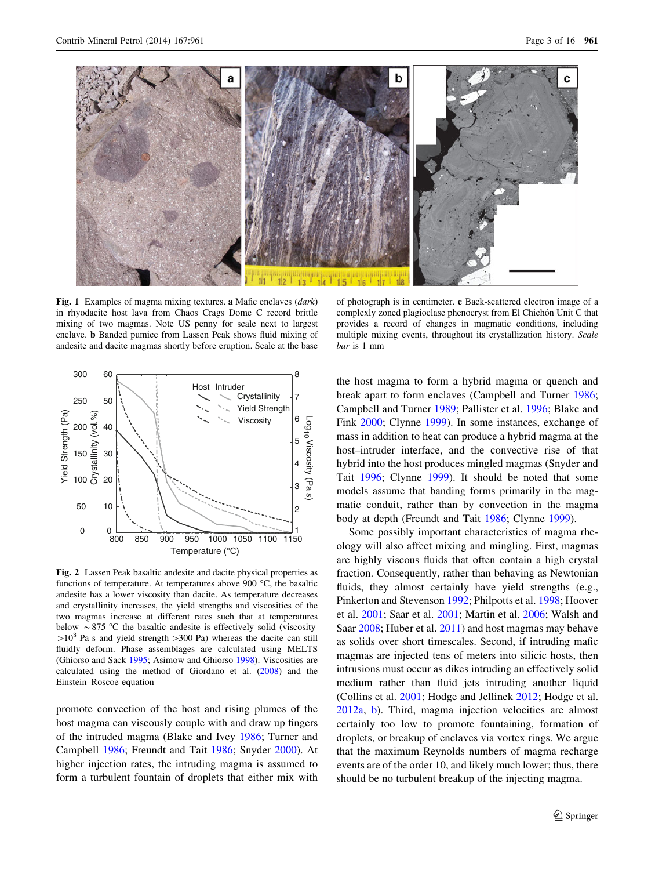<span id="page-2-0"></span>

Fig. 1 Examples of magma mixing textures. a Mafic enclaves (*dark*) in rhyodacite host lava from Chaos Crags Dome C record brittle mixing of two magmas. Note US penny for scale next to largest enclave. b Banded pumice from Lassen Peak shows fluid mixing of andesite and dacite magmas shortly before eruption. Scale at the base



Fig. 2 Lassen Peak basaltic andesite and dacite physical properties as functions of temperature. At temperatures above 900 °C, the basaltic andesite has a lower viscosity than dacite. As temperature decreases and crystallinity increases, the yield strengths and viscosities of the two magmas increase at different rates such that at temperatures below  $\sim$  875 °C the basaltic andesite is effectively solid (viscosity  $>10^8$  Pa s and yield strength  $>300$  Pa) whereas the dacite can still fluidly deform. Phase assemblages are calculated using MELTS (Ghiorso and Sack [1995](#page-14-0); Asimow and Ghiorso [1998\)](#page-13-0). Viscosities are calculated using the method of Giordano et al. ([2008\)](#page-14-0) and the Einstein–Roscoe equation

promote convection of the host and rising plumes of the host magma can viscously couple with and draw up fingers of the intruded magma (Blake and Ivey [1986;](#page-13-0) Turner and Campbell [1986](#page-15-0); Freundt and Tait [1986;](#page-14-0) Snyder [2000\)](#page-15-0). At higher injection rates, the intruding magma is assumed to form a turbulent fountain of droplets that either mix with

of photograph is in centimeter. c Back-scattered electron image of a complexly zoned plagioclase phenocryst from El Chichón Unit C that provides a record of changes in magmatic conditions, including multiple mixing events, throughout its crystallization history. Scale bar is 1 mm

the host magma to form a hybrid magma or quench and break apart to form enclaves (Campbell and Turner [1986](#page-13-0); Campbell and Turner [1989;](#page-13-0) Pallister et al. [1996](#page-14-0); Blake and Fink [2000;](#page-13-0) Clynne [1999](#page-14-0)). In some instances, exchange of mass in addition to heat can produce a hybrid magma at the host–intruder interface, and the convective rise of that hybrid into the host produces mingled magmas (Snyder and Tait [1996](#page-15-0); Clynne [1999\)](#page-14-0). It should be noted that some models assume that banding forms primarily in the magmatic conduit, rather than by convection in the magma body at depth (Freundt and Tait [1986;](#page-14-0) Clynne [1999\)](#page-14-0).

Some possibly important characteristics of magma rheology will also affect mixing and mingling. First, magmas are highly viscous fluids that often contain a high crystal fraction. Consequently, rather than behaving as Newtonian fluids, they almost certainly have yield strengths (e.g., Pinkerton and Stevenson [1992](#page-15-0); Philpotts et al. [1998;](#page-15-0) Hoover et al. [2001;](#page-14-0) Saar et al. [2001;](#page-15-0) Martin et al. [2006;](#page-14-0) Walsh and Saar [2008](#page-15-0); Huber et al. [2011\)](#page-14-0) and host magmas may behave as solids over short timescales. Second, if intruding mafic magmas are injected tens of meters into silicic hosts, then intrusions must occur as dikes intruding an effectively solid medium rather than fluid jets intruding another liquid (Collins et al. [2001;](#page-14-0) Hodge and Jellinek [2012;](#page-14-0) Hodge et al. [2012a,](#page-14-0) [b\)](#page-14-0). Third, magma injection velocities are almost certainly too low to promote fountaining, formation of droplets, or breakup of enclaves via vortex rings. We argue that the maximum Reynolds numbers of magma recharge events are of the order 10, and likely much lower; thus, there should be no turbulent breakup of the injecting magma.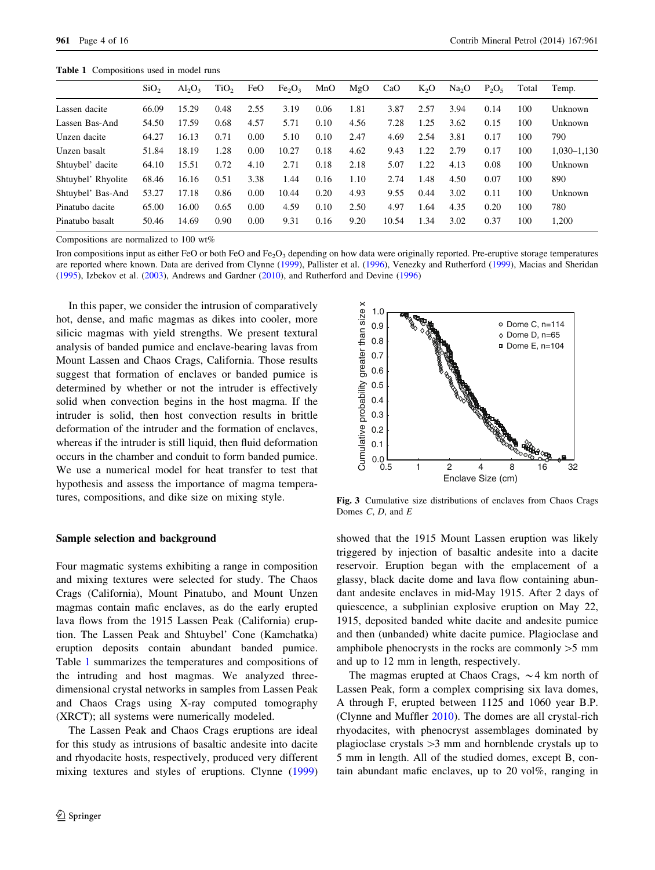<span id="page-3-0"></span>Table 1 Compositions used in model runs

|                    | SiO <sub>2</sub> | $Al_2O_3$ | TiO <sub>2</sub> | FeO  | Fe <sub>2</sub> O <sub>3</sub> | MnO  | MgO  | CaO   | $K_2O$ | Na <sub>2</sub> O | $P_2O_5$ | Total | Temp.       |
|--------------------|------------------|-----------|------------------|------|--------------------------------|------|------|-------|--------|-------------------|----------|-------|-------------|
| Lassen dacite      | 66.09            | 15.29     | 0.48             | 2.55 | 3.19                           | 0.06 | 1.81 | 3.87  | 2.57   | 3.94              | 0.14     | 100   | Unknown     |
| Lassen Bas-And     | 54.50            | 17.59     | 0.68             | 4.57 | 5.71                           | 0.10 | 4.56 | 7.28  | 1.25   | 3.62              | 0.15     | 100   | Unknown     |
| Unzen dacite       | 64.27            | 16.13     | 0.71             | 0.00 | 5.10                           | 0.10 | 2.47 | 4.69  | 2.54   | 3.81              | 0.17     | 100   | 790         |
| Unzen basalt       | 51.84            | 18.19     | 1.28             | 0.00 | 10.27                          | 0.18 | 4.62 | 9.43  | 1.22   | 2.79              | 0.17     | 100   | 1,030-1,130 |
| Shtuybel' dacite   | 64.10            | 15.51     | 0.72             | 4.10 | 2.71                           | 0.18 | 2.18 | 5.07  | 1.22   | 4.13              | 0.08     | 100   | Unknown     |
| Shtuybel' Rhyolite | 68.46            | 16.16     | 0.51             | 3.38 | 1.44                           | 0.16 | 1.10 | 2.74  | 1.48   | 4.50              | 0.07     | 100   | 890         |
| Shtuybel' Bas-And  | 53.27            | 17.18     | 0.86             | 0.00 | 10.44                          | 0.20 | 4.93 | 9.55  | 0.44   | 3.02              | 0.11     | 100   | Unknown     |
| Pinatubo dacite    | 65.00            | 16.00     | 0.65             | 0.00 | 4.59                           | 0.10 | 2.50 | 4.97  | 1.64   | 4.35              | 0.20     | 100   | 780         |
| Pinatubo basalt    | 50.46            | 14.69     | 0.90             | 0.00 | 9.31                           | 0.16 | 9.20 | 10.54 | 1.34   | 3.02              | 0.37     | 100   | 1.200       |

Compositions are normalized to 100 wt%

Iron compositions input as either FeO or both FeO and Fe<sub>2</sub>O<sub>3</sub> depending on how data were originally reported. Pre-eruptive storage temperatures are reported where known. Data are derived from Clynne [\(1999](#page-14-0)), Pallister et al. ([1996\)](#page-14-0), Venezky and Rutherford ([1999](#page-15-0)), Macias and Sheridan ([1995\)](#page-14-0), Izbekov et al. ([2003\)](#page-14-0), Andrews and Gardner [\(2010](#page-13-0)), and Rutherford and Devine [\(1996](#page-15-0))

In this paper, we consider the intrusion of comparatively hot, dense, and mafic magmas as dikes into cooler, more silicic magmas with yield strengths. We present textural analysis of banded pumice and enclave-bearing lavas from Mount Lassen and Chaos Crags, California. Those results suggest that formation of enclaves or banded pumice is determined by whether or not the intruder is effectively solid when convection begins in the host magma. If the intruder is solid, then host convection results in brittle deformation of the intruder and the formation of enclaves, whereas if the intruder is still liquid, then fluid deformation occurs in the chamber and conduit to form banded pumice. We use a numerical model for heat transfer to test that hypothesis and assess the importance of magma temperatures, compositions, and dike size on mixing style.

#### Sample selection and background

Four magmatic systems exhibiting a range in composition and mixing textures were selected for study. The Chaos Crags (California), Mount Pinatubo, and Mount Unzen magmas contain mafic enclaves, as do the early erupted lava flows from the 1915 Lassen Peak (California) eruption. The Lassen Peak and Shtuybel' Cone (Kamchatka) eruption deposits contain abundant banded pumice. Table 1 summarizes the temperatures and compositions of the intruding and host magmas. We analyzed threedimensional crystal networks in samples from Lassen Peak and Chaos Crags using X-ray computed tomography (XRCT); all systems were numerically modeled.

The Lassen Peak and Chaos Crags eruptions are ideal for this study as intrusions of basaltic andesite into dacite and rhyodacite hosts, respectively, produced very different mixing textures and styles of eruptions. Clynne ([1999\)](#page-14-0)



Fig. 3 Cumulative size distributions of enclaves from Chaos Crags Domes  $C$ ,  $D$ , and  $E$ 

showed that the 1915 Mount Lassen eruption was likely triggered by injection of basaltic andesite into a dacite reservoir. Eruption began with the emplacement of a glassy, black dacite dome and lava flow containing abundant andesite enclaves in mid-May 1915. After 2 days of quiescence, a subplinian explosive eruption on May 22, 1915, deposited banded white dacite and andesite pumice and then (unbanded) white dacite pumice. Plagioclase and amphibole phenocrysts in the rocks are commonly  $>5$  mm and up to 12 mm in length, respectively.

The magmas erupted at Chaos Crags,  $\sim$  4 km north of Lassen Peak, form a complex comprising six lava domes, A through F, erupted between 1125 and 1060 year B.P. (Clynne and Muffler [2010\)](#page-14-0). The domes are all crystal-rich rhyodacites, with phenocryst assemblages dominated by plagioclase crystals  $>3$  mm and hornblende crystals up to 5 mm in length. All of the studied domes, except B, contain abundant mafic enclaves, up to 20 vol%, ranging in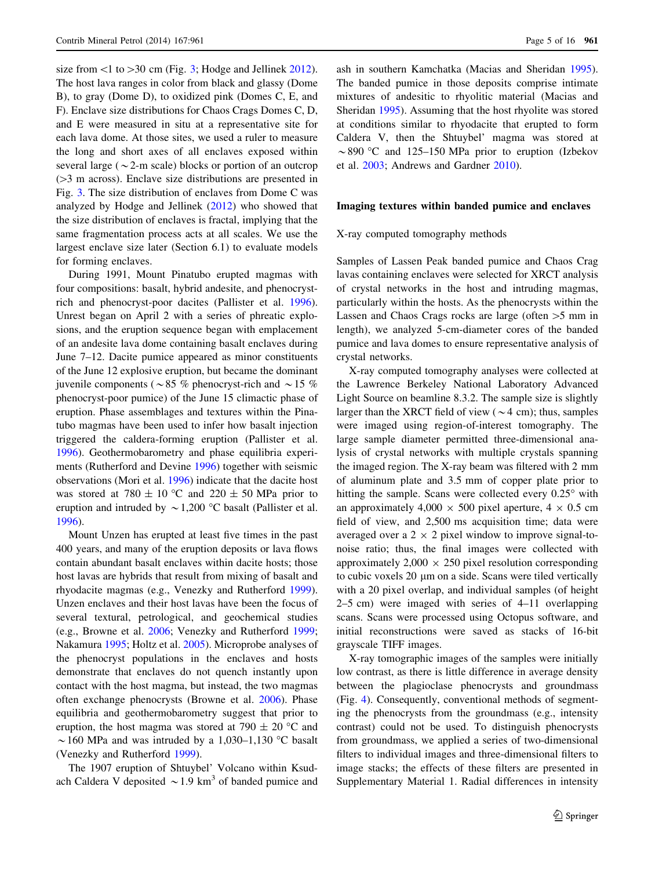size from  $\leq$ 1 to  $>$ 30 cm (Fig. [3;](#page-3-0) Hodge and Jellinek [2012](#page-14-0)). The host lava ranges in color from black and glassy (Dome B), to gray (Dome D), to oxidized pink (Domes C, E, and F). Enclave size distributions for Chaos Crags Domes C, D, and E were measured in situ at a representative site for each lava dome. At those sites, we used a ruler to measure the long and short axes of all enclaves exposed within several large ( $\sim$ 2-m scale) blocks or portion of an outcrop  $(>= 3$  m across). Enclave size distributions are presented in Fig. [3](#page-3-0). The size distribution of enclaves from Dome C was analyzed by Hodge and Jellinek ([2012\)](#page-14-0) who showed that the size distribution of enclaves is fractal, implying that the same fragmentation process acts at all scales. We use the largest enclave size later (Section 6.1) to evaluate models for forming enclaves.

During 1991, Mount Pinatubo erupted magmas with four compositions: basalt, hybrid andesite, and phenocrystrich and phenocryst-poor dacites (Pallister et al. [1996](#page-14-0)). Unrest began on April 2 with a series of phreatic explosions, and the eruption sequence began with emplacement of an andesite lava dome containing basalt enclaves during June 7–12. Dacite pumice appeared as minor constituents of the June 12 explosive eruption, but became the dominant juvenile components ( $\sim$  85 % phenocryst-rich and  $\sim$  15 % phenocryst-poor pumice) of the June 15 climactic phase of eruption. Phase assemblages and textures within the Pinatubo magmas have been used to infer how basalt injection triggered the caldera-forming eruption (Pallister et al. [1996\)](#page-14-0). Geothermobarometry and phase equilibria experiments (Rutherford and Devine [1996\)](#page-15-0) together with seismic observations (Mori et al. [1996\)](#page-14-0) indicate that the dacite host was stored at 780  $\pm$  10 °C and 220  $\pm$  50 MPa prior to eruption and intruded by  $\sim$  1,200 °C basalt (Pallister et al. [1996\)](#page-14-0).

Mount Unzen has erupted at least five times in the past 400 years, and many of the eruption deposits or lava flows contain abundant basalt enclaves within dacite hosts; those host lavas are hybrids that result from mixing of basalt and rhyodacite magmas (e.g., Venezky and Rutherford [1999](#page-15-0)). Unzen enclaves and their host lavas have been the focus of several textural, petrological, and geochemical studies (e.g., Browne et al. [2006;](#page-13-0) Venezky and Rutherford [1999](#page-15-0); Nakamura [1995](#page-14-0); Holtz et al. [2005\)](#page-14-0). Microprobe analyses of the phenocryst populations in the enclaves and hosts demonstrate that enclaves do not quench instantly upon contact with the host magma, but instead, the two magmas often exchange phenocrysts (Browne et al. [2006\)](#page-13-0). Phase equilibria and geothermobarometry suggest that prior to eruption, the host magma was stored at 790  $\pm$  20 °C and  $\sim$  160 MPa and was intruded by a 1,030–1,130 °C basalt (Venezky and Rutherford [1999](#page-15-0)).

The 1907 eruption of Shtuybel' Volcano within Ksudach Caldera V deposited  $\sim$  1.9 km<sup>3</sup> of banded pumice and ash in southern Kamchatka (Macias and Sheridan [1995](#page-14-0)). The banded pumice in those deposits comprise intimate mixtures of andesitic to rhyolitic material (Macias and Sheridan [1995](#page-14-0)). Assuming that the host rhyolite was stored at conditions similar to rhyodacite that erupted to form Caldera V, then the Shtuybel' magma was stored at  $\sim$ 890 °C and 125–150 MPa prior to eruption (Izbekov et al. [2003;](#page-14-0) Andrews and Gardner [2010](#page-13-0)).

# Imaging textures within banded pumice and enclaves

#### X-ray computed tomography methods

Samples of Lassen Peak banded pumice and Chaos Crag lavas containing enclaves were selected for XRCT analysis of crystal networks in the host and intruding magmas, particularly within the hosts. As the phenocrysts within the Lassen and Chaos Crags rocks are large (often  $>5$  mm in length), we analyzed 5-cm-diameter cores of the banded pumice and lava domes to ensure representative analysis of crystal networks.

X-ray computed tomography analyses were collected at the Lawrence Berkeley National Laboratory Advanced Light Source on beamline 8.3.2. The sample size is slightly larger than the XRCT field of view ( $\sim$  4 cm); thus, samples were imaged using region-of-interest tomography. The large sample diameter permitted three-dimensional analysis of crystal networks with multiple crystals spanning the imaged region. The X-ray beam was filtered with 2 mm of aluminum plate and 3.5 mm of copper plate prior to hitting the sample. Scans were collected every  $0.25^{\circ}$  with an approximately  $4,000 \times 500$  pixel aperture,  $4 \times 0.5$  cm field of view, and 2,500 ms acquisition time; data were averaged over a  $2 \times 2$  pixel window to improve signal-tonoise ratio; thus, the final images were collected with approximately  $2,000 \times 250$  pixel resolution corresponding to cubic voxels 20  $\mu$ m on a side. Scans were tiled vertically with a 20 pixel overlap, and individual samples (of height 2–5 cm) were imaged with series of 4–11 overlapping scans. Scans were processed using Octopus software, and initial reconstructions were saved as stacks of 16-bit grayscale TIFF images.

X-ray tomographic images of the samples were initially low contrast, as there is little difference in average density between the plagioclase phenocrysts and groundmass (Fig. [4\)](#page-5-0). Consequently, conventional methods of segmenting the phenocrysts from the groundmass (e.g., intensity contrast) could not be used. To distinguish phenocrysts from groundmass, we applied a series of two-dimensional filters to individual images and three-dimensional filters to image stacks; the effects of these filters are presented in Supplementary Material 1. Radial differences in intensity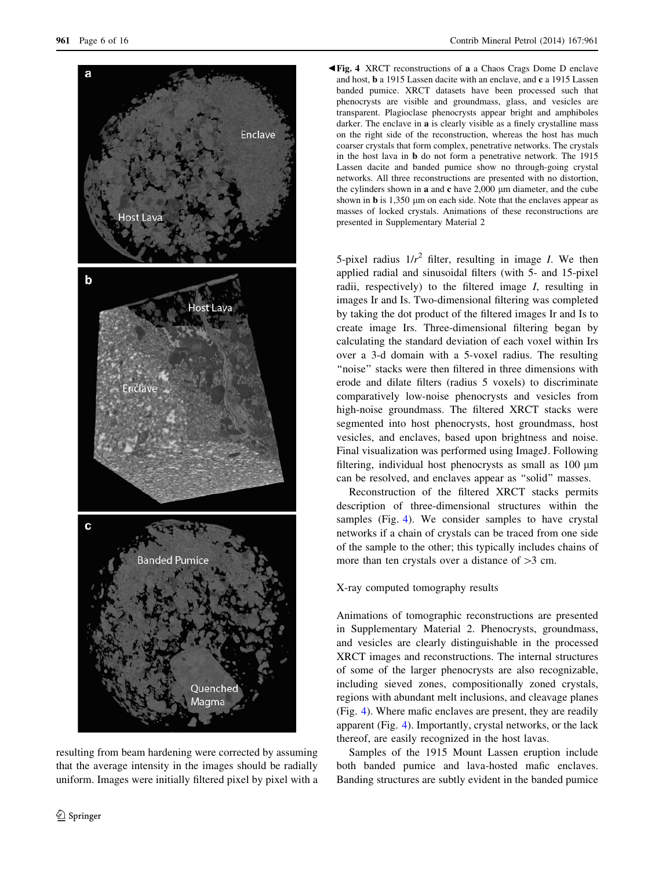<span id="page-5-0"></span>

resulting from beam hardening were corrected by assuming that the average intensity in the images should be radially uniform. Images were initially filtered pixel by pixel with a b Fig. 4 XRCT reconstructions of a a Chaos Crags Dome D enclave and host, b a 1915 Lassen dacite with an enclave, and c a 1915 Lassen banded pumice. XRCT datasets have been processed such that phenocrysts are visible and groundmass, glass, and vesicles are transparent. Plagioclase phenocrysts appear bright and amphiboles darker. The enclave in a is clearly visible as a finely crystalline mass on the right side of the reconstruction, whereas the host has much coarser crystals that form complex, penetrative networks. The crystals in the host lava in b do not form a penetrative network. The 1915 Lassen dacite and banded pumice show no through-going crystal networks. All three reconstructions are presented with no distortion, the cylinders shown in  $a$  and  $c$  have 2,000  $\mu$ m diameter, and the cube shown in  $\bf{b}$  is 1,350  $\mu$ m on each side. Note that the enclaves appear as masses of locked crystals. Animations of these reconstructions are presented in Supplementary Material 2

5-pixel radius  $1/r^2$  filter, resulting in image *I*. We then applied radial and sinusoidal filters (with 5- and 15-pixel radii, respectively) to the filtered image I, resulting in images Ir and Is. Two-dimensional filtering was completed by taking the dot product of the filtered images Ir and Is to create image Irs. Three-dimensional filtering began by calculating the standard deviation of each voxel within Irs over a 3-d domain with a 5-voxel radius. The resulting ''noise'' stacks were then filtered in three dimensions with erode and dilate filters (radius 5 voxels) to discriminate comparatively low-noise phenocrysts and vesicles from high-noise groundmass. The filtered XRCT stacks were segmented into host phenocrysts, host groundmass, host vesicles, and enclaves, based upon brightness and noise. Final visualization was performed using ImageJ. Following filtering, individual host phenocrysts as small as 100  $\mu$ m can be resolved, and enclaves appear as ''solid'' masses.

Reconstruction of the filtered XRCT stacks permits description of three-dimensional structures within the samples (Fig. 4). We consider samples to have crystal networks if a chain of crystals can be traced from one side of the sample to the other; this typically includes chains of more than ten crystals over a distance of  $>3$  cm.

# X-ray computed tomography results

Animations of tomographic reconstructions are presented in Supplementary Material 2. Phenocrysts, groundmass, and vesicles are clearly distinguishable in the processed XRCT images and reconstructions. The internal structures of some of the larger phenocrysts are also recognizable, including sieved zones, compositionally zoned crystals, regions with abundant melt inclusions, and cleavage planes (Fig. 4). Where mafic enclaves are present, they are readily apparent (Fig. 4). Importantly, crystal networks, or the lack thereof, are easily recognized in the host lavas.

Samples of the 1915 Mount Lassen eruption include both banded pumice and lava-hosted mafic enclaves. Banding structures are subtly evident in the banded pumice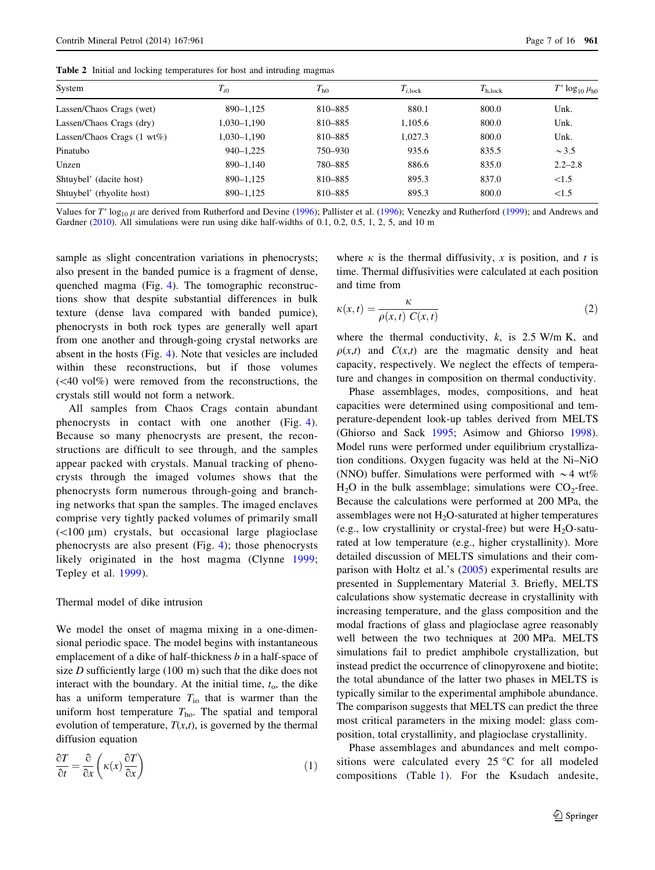<span id="page-6-0"></span>Table 2 Initial and locking temperatures for host and intruding magmas

| System                        | $T_{i0}$      | $T_{\rm h0}$ | $T_{i,lock}$ | $T_{\rm h,lock}$ | $T^* \log_{10} \mu_{h0}$ |
|-------------------------------|---------------|--------------|--------------|------------------|--------------------------|
| Lassen/Chaos Crags (wet)      | $890 - 1,125$ | 810-885      | 880.1        | 800.0            | Unk.                     |
| Lassen/Chaos Crags (dry)      | 1,030-1,190   | 810-885      | 1,105.6      | 800.0            | Unk.                     |
| Lassen/Chaos Crags $(1 wt\%)$ | 1,030–1,190   | 810-885      | 1.027.3      | 800.0            | Unk.                     |
| Pinatubo                      | $940 - 1.225$ | 750–930      | 935.6        | 835.5            | $\sim$ 3.5               |
| Unzen                         | 890-1.140     | 780-885      | 886.6        | 835.0            | $2.2 - 2.8$              |
| Shtuybel' (dacite host)       | $890 - 1,125$ | 810-885      | 895.3        | 837.0            | <1.5                     |
| Shtuybel' (rhyolite host)     | $890 - 1,125$ | 810-885      | 895.3        | 800.0            | <1.5                     |

Values for  $T^*$  log<sub>10</sub>  $\mu$  are derived from Rutherford and Devine ([1996\)](#page-14-0); Pallister et al. (1996); Venezky and Rutherford ([1999\)](#page-15-0); and Andrews and Gardner [\(2010](#page-13-0)). All simulations were run using dike half-widths of 0.1, 0.2, 0.5, 1, 2, 5, and 10 m

sample as slight concentration variations in phenocrysts; also present in the banded pumice is a fragment of dense, quenched magma (Fig. [4\)](#page-5-0). The tomographic reconstructions show that despite substantial differences in bulk texture (dense lava compared with banded pumice), phenocrysts in both rock types are generally well apart from one another and through-going crystal networks are absent in the hosts (Fig. [4](#page-5-0)). Note that vesicles are included within these reconstructions, but if those volumes  $( $40 \text{ vol}\%$ ) were removed from the reconstructions, the$ crystals still would not form a network.

All samples from Chaos Crags contain abundant phenocrysts in contact with one another (Fig. [4](#page-5-0)). Because so many phenocrysts are present, the reconstructions are difficult to see through, and the samples appear packed with crystals. Manual tracking of phenocrysts through the imaged volumes shows that the phenocrysts form numerous through-going and branching networks that span the samples. The imaged enclaves comprise very tightly packed volumes of primarily small  $(<100 \mu m$ ) crystals, but occasional large plagioclase phenocrysts are also present (Fig. [4\)](#page-5-0); those phenocrysts likely originated in the host magma (Clynne [1999](#page-14-0); Tepley et al. [1999\)](#page-15-0).

### Thermal model of dike intrusion

We model the onset of magma mixing in a one-dimensional periodic space. The model begins with instantaneous emplacement of a dike of half-thickness b in a half-space of size  $D$  sufficiently large (100 m) such that the dike does not interact with the boundary. At the initial time,  $t<sub>o</sub>$ , the dike has a uniform temperature  $T_{\text{io}}$  that is warmer than the uniform host temperature  $T_{\text{ho}}$ . The spatial and temporal evolution of temperature,  $T(x,t)$ , is governed by the thermal diffusion equation

$$
\frac{\partial T}{\partial t} = \frac{\partial}{\partial x} \left( \kappa(x) \frac{\partial T}{\partial x} \right) \tag{1}
$$

where  $\kappa$  is the thermal diffusivity, x is position, and t is time. Thermal diffusivities were calculated at each position and time from

$$
\kappa(x,t) = \frac{\kappa}{\rho(x,t) C(x,t)}
$$
\n(2)

where the thermal conductivity,  $k$ , is 2.5 W/m K, and  $\rho(x,t)$  and  $C(x,t)$  are the magmatic density and heat capacity, respectively. We neglect the effects of temperature and changes in composition on thermal conductivity.

Phase assemblages, modes, compositions, and heat capacities were determined using compositional and temperature-dependent look-up tables derived from MELTS (Ghiorso and Sack [1995](#page-14-0); Asimow and Ghiorso [1998](#page-13-0)). Model runs were performed under equilibrium crystallization conditions. Oxygen fugacity was held at the Ni–NiO (NNO) buffer. Simulations were performed with  $\sim$  4 wt%  $H<sub>2</sub>O$  in the bulk assemblage; simulations were  $CO<sub>2</sub>$ -free. Because the calculations were performed at 200 MPa, the assemblages were not  $H_2O$ -saturated at higher temperatures (e.g., low crystallinity or crystal-free) but were  $H_2O$ -saturated at low temperature (e.g., higher crystallinity). More detailed discussion of MELTS simulations and their comparison with Holtz et al.'s [\(2005\)](#page-14-0) experimental results are presented in Supplementary Material 3. Briefly, MELTS calculations show systematic decrease in crystallinity with increasing temperature, and the glass composition and the modal fractions of glass and plagioclase agree reasonably well between the two techniques at 200 MPa. MELTS simulations fail to predict amphibole crystallization, but instead predict the occurrence of clinopyroxene and biotite; the total abundance of the latter two phases in MELTS is typically similar to the experimental amphibole abundance. The comparison suggests that MELTS can predict the three most critical parameters in the mixing model: glass composition, total crystallinity, and plagioclase crystallinity.

Phase assemblages and abundances and melt compositions were calculated every  $25 \degree C$  for all modeled compositions (Table [1](#page-3-0)). For the Ksudach andesite,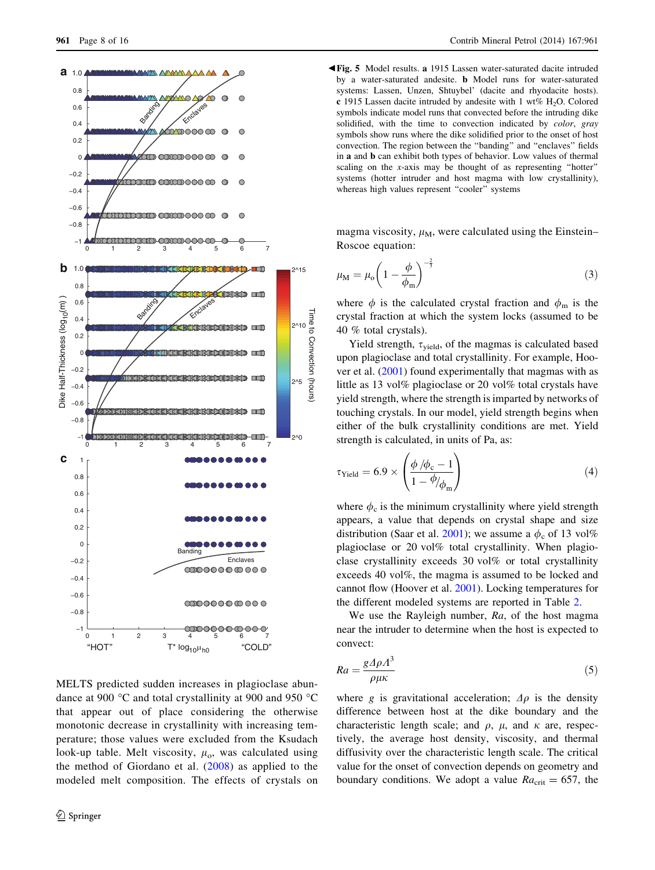<span id="page-7-0"></span>

MELTS predicted sudden increases in plagioclase abundance at 900  $\degree$ C and total crystallinity at 900 and 950  $\degree$ C that appear out of place considering the otherwise monotonic decrease in crystallinity with increasing temperature; those values were excluded from the Ksudach look-up table. Melt viscosity,  $\mu_0$ , was calculated using the method of Giordano et al. ([2008](#page-14-0)) as applied to the modeled melt composition. The effects of crystals on

b Fig. 5 Model results. a 1915 Lassen water-saturated dacite intruded by a water-saturated andesite. b Model runs for water-saturated systems: Lassen, Unzen, Shtuybel' (dacite and rhyodacite hosts). c 1915 Lassen dacite intruded by andesite with 1 wt%  $H_2O$ . Colored symbols indicate model runs that convected before the intruding dike solidified, with the time to convection indicated by *color*, gray symbols show runs where the dike solidified prior to the onset of host convection. The region between the ''banding'' and ''enclaves'' fields in a and b can exhibit both types of behavior. Low values of thermal scaling on the x-axis may be thought of as representing "hotter" systems (hotter intruder and host magma with low crystallinity), whereas high values represent "cooler" systems

magma viscosity,  $\mu_M$ , were calculated using the Einstein– Roscoe equation:

$$
\mu_{\rm M} = \mu_{\rm o} \left( 1 - \frac{\phi}{\phi_{\rm m}} \right)^{-\frac{2}{3}} \tag{3}
$$

where  $\phi$  is the calculated crystal fraction and  $\phi_m$  is the crystal fraction at which the system locks (assumed to be 40 % total crystals).

Yield strength,  $\tau_{yield}$ , of the magmas is calculated based upon plagioclase and total crystallinity. For example, Hoover et al. [\(2001](#page-14-0)) found experimentally that magmas with as little as 13 vol% plagioclase or 20 vol% total crystals have yield strength, where the strength is imparted by networks of touching crystals. In our model, yield strength begins when either of the bulk crystallinity conditions are met. Yield strength is calculated, in units of Pa, as:

$$
\tau_{\text{Yield}} = 6.9 \times \left( \frac{\phi / \phi_c - 1}{1 - \phi / \phi_m} \right) \tag{4}
$$

where  $\phi_c$  is the minimum crystallinity where yield strength appears, a value that depends on crystal shape and size distribution (Saar et al. [2001](#page-15-0)); we assume a  $\phi_c$  of 13 vol% plagioclase or 20 vol% total crystallinity. When plagioclase crystallinity exceeds 30 vol% or total crystallinity exceeds 40 vol%, the magma is assumed to be locked and cannot flow (Hoover et al. [2001\)](#page-14-0). Locking temperatures for the different modeled systems are reported in Table [2.](#page-6-0)

We use the Rayleigh number, Ra, of the host magma near the intruder to determine when the host is expected to convect:

$$
Ra = \frac{g\Delta\rho A^3}{\rho\mu\kappa} \tag{5}
$$

where g is gravitational acceleration;  $\Delta \rho$  is the density difference between host at the dike boundary and the characteristic length scale; and  $\rho$ ,  $\mu$ , and  $\kappa$  are, respectively, the average host density, viscosity, and thermal diffusivity over the characteristic length scale. The critical value for the onset of convection depends on geometry and boundary conditions. We adopt a value  $Ra_{\text{crit}} = 657$ , the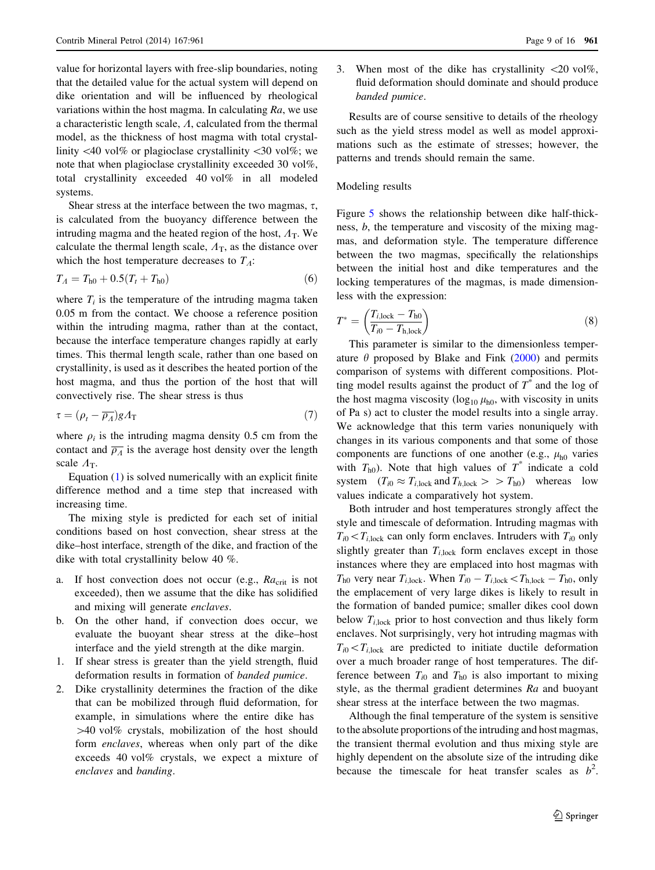value for horizontal layers with free-slip boundaries, noting that the detailed value for the actual system will depend on dike orientation and will be influenced by rheological variations within the host magma. In calculating  $Ra$ , we use a characteristic length scale,  $\Lambda$ , calculated from the thermal model, as the thickness of host magma with total crystallinity  $\langle 40 \rangle$  vol% or plagioclase crystallinity  $\langle 30 \rangle$  vol%; we note that when plagioclase crystallinity exceeded 30 vol%, total crystallinity exceeded 40 vol% in all modeled systems.

Shear stress at the interface between the two magmas,  $\tau$ , is calculated from the buoyancy difference between the intruding magma and the heated region of the host,  $A_T$ . We calculate the thermal length scale,  $A_T$ , as the distance over which the host temperature decreases to  $T_A$ :

$$
T_A = T_{h0} + 0.5(T_t + T_{h0})
$$
\n(6)

where  $T_i$  is the temperature of the intruding magma taken 0.05 m from the contact. We choose a reference position within the intruding magma, rather than at the contact, because the interface temperature changes rapidly at early times. This thermal length scale, rather than one based on crystallinity, is used as it describes the heated portion of the host magma, and thus the portion of the host that will convectively rise. The shear stress is thus

$$
\tau = (\rho_t - \overline{\rho_A})gA_\text{T} \tag{7}
$$

where  $\rho_i$  is the intruding magma density 0.5 cm from the contact and  $\overline{\rho_A}$  is the average host density over the length scale  $A_T$ .

Equation [\(1](#page-6-0)) is solved numerically with an explicit finite difference method and a time step that increased with increasing time.

The mixing style is predicted for each set of initial conditions based on host convection, shear stress at the dike–host interface, strength of the dike, and fraction of the dike with total crystallinity below 40 %.

- a. If host convection does not occur (e.g.,  $Ra_{\text{crit}}$  is not exceeded), then we assume that the dike has solidified and mixing will generate enclaves.
- b. On the other hand, if convection does occur, we evaluate the buoyant shear stress at the dike–host interface and the yield strength at the dike margin.
- 1. If shear stress is greater than the yield strength, fluid deformation results in formation of banded pumice.
- 2. Dike crystallinity determines the fraction of the dike that can be mobilized through fluid deformation, for example, in simulations where the entire dike has  $>40$  vol% crystals, mobilization of the host should form enclaves, whereas when only part of the dike exceeds 40 vol% crystals, we expect a mixture of enclaves and banding.

3. When most of the dike has crystallinity  $\langle 20 \rangle$  vol%, fluid deformation should dominate and should produce banded pumice.

Results are of course sensitive to details of the rheology such as the yield stress model as well as model approximations such as the estimate of stresses; however, the patterns and trends should remain the same.

# Modeling results

Figure [5](#page-7-0) shows the relationship between dike half-thickness, b, the temperature and viscosity of the mixing magmas, and deformation style. The temperature difference between the two magmas, specifically the relationships between the initial host and dike temperatures and the locking temperatures of the magmas, is made dimensionless with the expression:

$$
T^* = \left(\frac{T_{i,\text{lock}} - T_{\text{ho}}}{T_{i0} - T_{\text{h},\text{lock}}}\right) \tag{8}
$$

This parameter is similar to the dimensionless temperature  $\theta$  proposed by Blake and Fink ([2000\)](#page-13-0) and permits comparison of systems with different compositions. Plotting model results against the product of  $T^*$  and the log of the host magma viscosity ( $\log_{10} \mu_{h0}$ , with viscosity in units of Pa s) act to cluster the model results into a single array. We acknowledge that this term varies nonuniquely with changes in its various components and that some of those components are functions of one another (e.g.,  $\mu_{h0}$  varies with  $T_{h0}$ ). Note that high values of  $T^*$  indicate a cold system  $(T_{i0} \approx T_{i,lock}$  and  $T_{h,lock} > T_{h0}$  whereas low values indicate a comparatively hot system.

Both intruder and host temperatures strongly affect the style and timescale of deformation. Intruding magmas with  $T_{i0}$  <  $T_{i,lock}$  can only form enclaves. Intruders with  $T_{i0}$  only slightly greater than  $T_{i,lock}$  form enclaves except in those instances where they are emplaced into host magmas with  $T_{h0}$  very near  $T_{i,lock}$ . When  $T_{i0} - T_{i,lock} < T_{h,lock} - T_{h0}$ , only the emplacement of very large dikes is likely to result in the formation of banded pumice; smaller dikes cool down below  $T_{i,lock}$  prior to host convection and thus likely form enclaves. Not surprisingly, very hot intruding magmas with  $T_{i0}$  <  $T_{i,lock}$  are predicted to initiate ductile deformation over a much broader range of host temperatures. The difference between  $T_{i0}$  and  $T_{h0}$  is also important to mixing style, as the thermal gradient determines Ra and buoyant shear stress at the interface between the two magmas.

Although the final temperature of the system is sensitive to the absolute proportions of the intruding and host magmas, the transient thermal evolution and thus mixing style are highly dependent on the absolute size of the intruding dike because the timescale for heat transfer scales as  $b^2$ .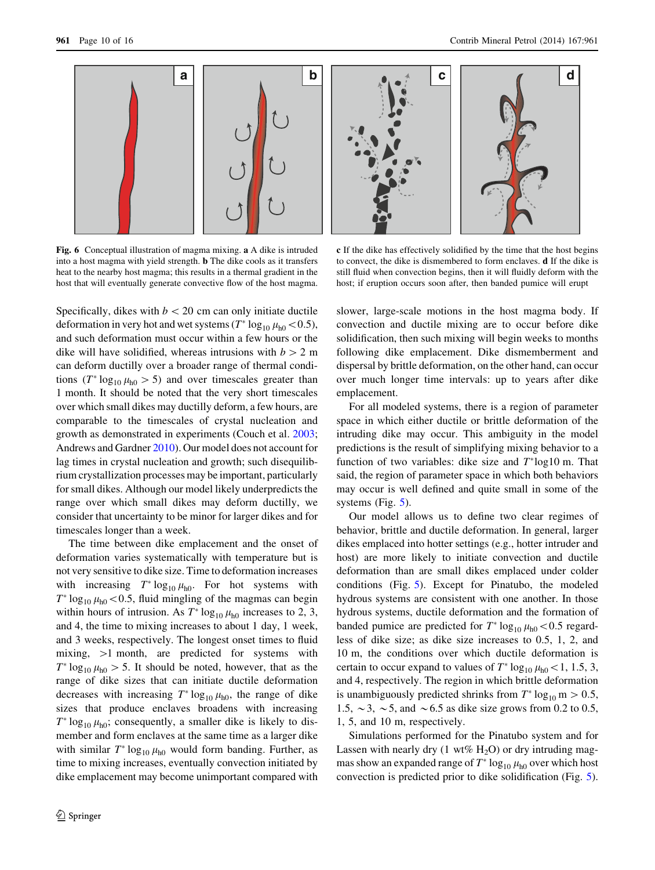<span id="page-9-0"></span>

Fig. 6 Conceptual illustration of magma mixing. a A dike is intruded into a host magma with yield strength. b The dike cools as it transfers heat to the nearby host magma; this results in a thermal gradient in the host that will eventually generate convective flow of the host magma.

c If the dike has effectively solidified by the time that the host begins to convect, the dike is dismembered to form enclaves. d If the dike is still fluid when convection begins, then it will fluidly deform with the host; if eruption occurs soon after, then banded pumice will erupt

Specifically, dikes with  $b < 20$  cm can only initiate ductile deformation in very hot and wet systems  $(T^* \log_{10} \mu_{h0} < 0.5)$ , and such deformation must occur within a few hours or the dike will have solidified, whereas intrusions with  $b > 2$  m can deform ductilly over a broader range of thermal conditions ( $T^* \log_{10} \mu_{h0} > 5$ ) and over timescales greater than 1 month. It should be noted that the very short timescales over which small dikes may ductilly deform, a few hours, are comparable to the timescales of crystal nucleation and growth as demonstrated in experiments (Couch et al. [2003](#page-14-0); Andrews and Gardner [2010](#page-13-0)). Our model does not account for lag times in crystal nucleation and growth; such disequilibrium crystallization processes may be important, particularly for small dikes. Although our model likely underpredicts the range over which small dikes may deform ductilly, we consider that uncertainty to be minor for larger dikes and for timescales longer than a week.

The time between dike emplacement and the onset of deformation varies systematically with temperature but is not very sensitive to dike size. Time to deformation increases with increasing  $T^* \log_{10} \mu_{h0}$ . For hot systems with  $T^* \log_{10} \mu_{h0}$  < 0.5, fluid mingling of the magmas can begin within hours of intrusion. As  $T^* \log_{10} \mu_{h0}$  increases to 2, 3, and 4, the time to mixing increases to about 1 day, 1 week, and 3 weeks, respectively. The longest onset times to fluid mixing,  $>1$  month, are predicted for systems with  $T^* \log_{10} \mu_{h0} > 5$ . It should be noted, however, that as the range of dike sizes that can initiate ductile deformation decreases with increasing  $T^* \log_{10} \mu_{h0}$ , the range of dike sizes that produce enclaves broadens with increasing  $T^* \log_{10} \mu_{h0}$ ; consequently, a smaller dike is likely to dismember and form enclaves at the same time as a larger dike with similar  $T^* \log_{10} \mu_{h0}$  would form banding. Further, as time to mixing increases, eventually convection initiated by dike emplacement may become unimportant compared with slower, large-scale motions in the host magma body. If convection and ductile mixing are to occur before dike solidification, then such mixing will begin weeks to months following dike emplacement. Dike dismemberment and dispersal by brittle deformation, on the other hand, can occur over much longer time intervals: up to years after dike emplacement.

For all modeled systems, there is a region of parameter space in which either ductile or brittle deformation of the intruding dike may occur. This ambiguity in the model predictions is the result of simplifying mixing behavior to a function of two variables: dike size and  $T^*$ log10 m. That said, the region of parameter space in which both behaviors may occur is well defined and quite small in some of the systems (Fig. [5\)](#page-7-0).

Our model allows us to define two clear regimes of behavior, brittle and ductile deformation. In general, larger dikes emplaced into hotter settings (e.g., hotter intruder and host) are more likely to initiate convection and ductile deformation than are small dikes emplaced under colder conditions (Fig. [5\)](#page-7-0). Except for Pinatubo, the modeled hydrous systems are consistent with one another. In those hydrous systems, ductile deformation and the formation of banded pumice are predicted for  $T^* \log_{10} \mu_{h0} \lt 0.5$  regardless of dike size; as dike size increases to 0.5, 1, 2, and 10 m, the conditions over which ductile deformation is certain to occur expand to values of  $T^* \log_{10} \mu_{h0} \leq 1, 1.5, 3$ , and 4, respectively. The region in which brittle deformation is unambiguously predicted shrinks from  $T^* \log_{10} m > 0.5$ , 1.5,  $\sim$  3,  $\sim$  5, and  $\sim$  6.5 as dike size grows from 0.2 to 0.5, 1, 5, and 10 m, respectively.

Simulations performed for the Pinatubo system and for Lassen with nearly dry  $(1 \text{ wt\% H}_2O)$  or dry intruding magmas show an expanded range of  $T^* \log_{10} \mu_{h0}$  over which host convection is predicted prior to dike solidification (Fig. [5](#page-7-0)).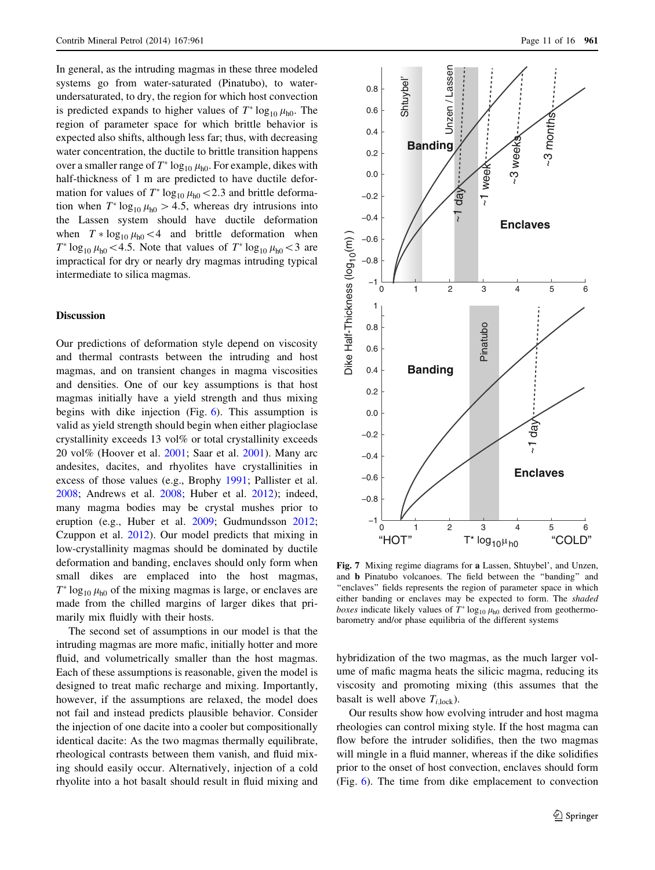<span id="page-10-0"></span>In general, as the intruding magmas in these three modeled systems go from water-saturated (Pinatubo), to waterundersaturated, to dry, the region for which host convection is predicted expands to higher values of  $T^* \log_{10} \mu_{h0}$ . The region of parameter space for which brittle behavior is expected also shifts, although less far; thus, with decreasing water concentration, the ductile to brittle transition happens over a smaller range of  $T^* \log_{10} \mu_{h0}$ . For example, dikes with half-thickness of 1 m are predicted to have ductile deformation for values of  $T^* \log_{10} \mu_{h0} \ll 2.3$  and brittle deformation when  $T^* \log_{10} \mu_{h0} > 4.5$ , whereas dry intrusions into the Lassen system should have ductile deformation when  $T * log_{10} \mu_{h0} < 4$  and brittle deformation when  $T^* \log_{10} \mu_{h0}$  < 4.5. Note that values of  $T^* \log_{10} \mu_{h0}$  < 3 are impractical for dry or nearly dry magmas intruding typical intermediate to silica magmas.

#### **Discussion**

Our predictions of deformation style depend on viscosity and thermal contrasts between the intruding and host magmas, and on transient changes in magma viscosities and densities. One of our key assumptions is that host magmas initially have a yield strength and thus mixing begins with dike injection (Fig. [6\)](#page-9-0). This assumption is valid as yield strength should begin when either plagioclase crystallinity exceeds 13 vol% or total crystallinity exceeds 20 vol% (Hoover et al. [2001](#page-14-0); Saar et al. [2001\)](#page-15-0). Many arc andesites, dacites, and rhyolites have crystallinities in excess of those values (e.g., Brophy [1991](#page-13-0); Pallister et al. [2008;](#page-14-0) Andrews et al. [2008;](#page-13-0) Huber et al. [2012](#page-14-0)); indeed, many magma bodies may be crystal mushes prior to eruption (e.g., Huber et al. [2009;](#page-14-0) Gudmundsson [2012](#page-14-0); Czuppon et al. [2012](#page-14-0)). Our model predicts that mixing in low-crystallinity magmas should be dominated by ductile deformation and banding, enclaves should only form when small dikes are emplaced into the host magmas,  $T^* \log_{10} \mu_{h0}$  of the mixing magmas is large, or enclaves are made from the chilled margins of larger dikes that primarily mix fluidly with their hosts.

The second set of assumptions in our model is that the intruding magmas are more mafic, initially hotter and more fluid, and volumetrically smaller than the host magmas. Each of these assumptions is reasonable, given the model is designed to treat mafic recharge and mixing. Importantly, however, if the assumptions are relaxed, the model does not fail and instead predicts plausible behavior. Consider the injection of one dacite into a cooler but compositionally identical dacite: As the two magmas thermally equilibrate, rheological contrasts between them vanish, and fluid mixing should easily occur. Alternatively, injection of a cold rhyolite into a hot basalt should result in fluid mixing and



Fig. 7 Mixing regime diagrams for a Lassen, Shtuybel', and Unzen, and b Pinatubo volcanoes. The field between the ''banding'' and "enclaves" fields represents the region of parameter space in which either banding or enclaves may be expected to form. The shaded boxes indicate likely values of  $T^* \log_{10} \mu_{h0}$  derived from geothermobarometry and/or phase equilibria of the different systems

hybridization of the two magmas, as the much larger volume of mafic magma heats the silicic magma, reducing its viscosity and promoting mixing (this assumes that the basalt is well above  $T_{i,lock}$ ).

Our results show how evolving intruder and host magma rheologies can control mixing style. If the host magma can flow before the intruder solidifies, then the two magmas will mingle in a fluid manner, whereas if the dike solidifies prior to the onset of host convection, enclaves should form (Fig. [6\)](#page-9-0). The time from dike emplacement to convection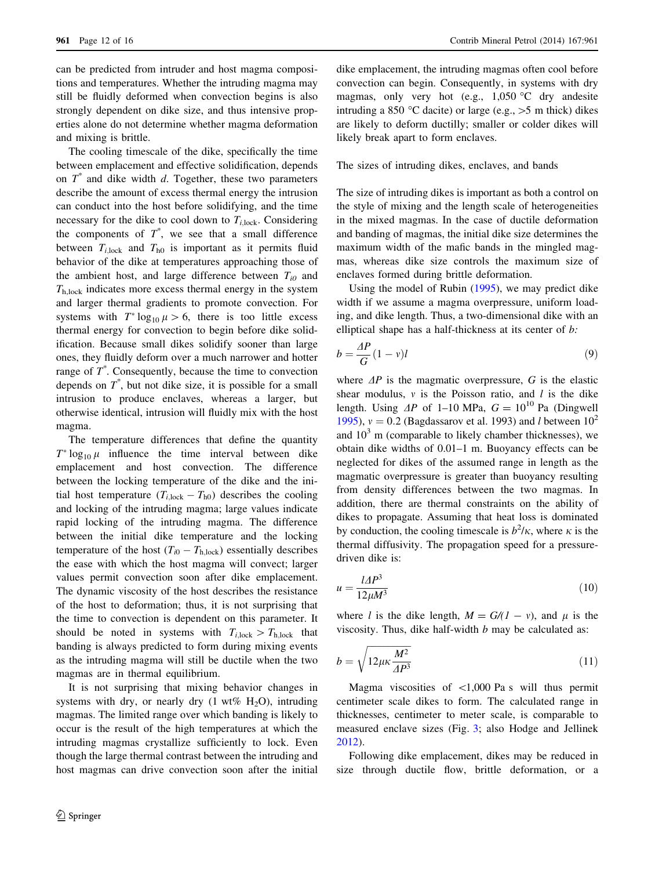can be predicted from intruder and host magma compositions and temperatures. Whether the intruding magma may still be fluidly deformed when convection begins is also strongly dependent on dike size, and thus intensive properties alone do not determine whether magma deformation and mixing is brittle.

The cooling timescale of the dike, specifically the time between emplacement and effective solidification, depends on  $T^*$  and dike width d. Together, these two parameters describe the amount of excess thermal energy the intrusion can conduct into the host before solidifying, and the time necessary for the dike to cool down to  $T_{i,lock}$ . Considering the components of  $T^*$ , we see that a small difference between  $T_{i,lock}$  and  $T_{h0}$  is important as it permits fluid behavior of the dike at temperatures approaching those of the ambient host, and large difference between  $T_{i0}$  and  $T<sub>h,lock</sub>$  indicates more excess thermal energy in the system and larger thermal gradients to promote convection. For systems with  $T^* \log_{10} \mu > 6$ , there is too little excess thermal energy for convection to begin before dike solidification. Because small dikes solidify sooner than large ones, they fluidly deform over a much narrower and hotter range of  $T^*$ . Consequently, because the time to convection depends on  $T^*$ , but not dike size, it is possible for a small intrusion to produce enclaves, whereas a larger, but otherwise identical, intrusion will fluidly mix with the host magma.

The temperature differences that define the quantity  $T^* \log_{10} \mu$  influence the time interval between dike emplacement and host convection. The difference between the locking temperature of the dike and the initial host temperature  $(T_{i,lock} - T_{h0})$  describes the cooling and locking of the intruding magma; large values indicate rapid locking of the intruding magma. The difference between the initial dike temperature and the locking temperature of the host  $(T_{i0} - T_{h,lock})$  essentially describes the ease with which the host magma will convect; larger values permit convection soon after dike emplacement. The dynamic viscosity of the host describes the resistance of the host to deformation; thus, it is not surprising that the time to convection is dependent on this parameter. It should be noted in systems with  $T_{i,lock} > T_{h,lock}$  that banding is always predicted to form during mixing events as the intruding magma will still be ductile when the two magmas are in thermal equilibrium.

It is not surprising that mixing behavior changes in systems with dry, or nearly dry  $(1 \text{ wt\% H}_2\text{O})$ , intruding magmas. The limited range over which banding is likely to occur is the result of the high temperatures at which the intruding magmas crystallize sufficiently to lock. Even though the large thermal contrast between the intruding and host magmas can drive convection soon after the initial dike emplacement, the intruding magmas often cool before convection can begin. Consequently, in systems with dry magmas, only very hot (e.g.,  $1,050$  °C dry andesite intruding a 850 °C dacite) or large (e.g.,  $>5$  m thick) dikes are likely to deform ductilly; smaller or colder dikes will likely break apart to form enclaves.

The sizes of intruding dikes, enclaves, and bands

The size of intruding dikes is important as both a control on the style of mixing and the length scale of heterogeneities in the mixed magmas. In the case of ductile deformation and banding of magmas, the initial dike size determines the maximum width of the mafic bands in the mingled magmas, whereas dike size controls the maximum size of enclaves formed during brittle deformation.

Using the model of Rubin [\(1995](#page-15-0)), we may predict dike width if we assume a magma overpressure, uniform loading, and dike length. Thus, a two-dimensional dike with an elliptical shape has a half-thickness at its center of b:

$$
b = \frac{AP}{G}(1 - v)l\tag{9}
$$

where  $\Delta P$  is the magmatic overpressure, G is the elastic shear modulus,  $\nu$  is the Poisson ratio, and l is the dike length. Using  $\Delta P$  of 1–10 MPa,  $G = 10^{10}$  Pa (Dingwell [1995](#page-14-0)),  $v = 0.2$  (Bagdassarov et al. 1993) and *l* between  $10<sup>2</sup>$ and  $10<sup>3</sup>$  m (comparable to likely chamber thicknesses), we obtain dike widths of 0.01–1 m. Buoyancy effects can be neglected for dikes of the assumed range in length as the magmatic overpressure is greater than buoyancy resulting from density differences between the two magmas. In addition, there are thermal constraints on the ability of dikes to propagate. Assuming that heat loss is dominated by conduction, the cooling timescale is  $b^2/k$ , where  $\kappa$  is the thermal diffusivity. The propagation speed for a pressuredriven dike is:

$$
u = \frac{l\Delta P^3}{12\mu M^3} \tag{10}
$$

where l is the dike length,  $M = G/(1 - v)$ , and  $\mu$  is the viscosity. Thus, dike half-width  $b$  may be calculated as:

$$
b = \sqrt{12\mu\kappa \frac{M^2}{\Delta P^3}}
$$
\n(11)

Magma viscosities of  $\lt 1,000$  Pa s will thus permit centimeter scale dikes to form. The calculated range in thicknesses, centimeter to meter scale, is comparable to measured enclave sizes (Fig. [3](#page-3-0); also Hodge and Jellinek [2012](#page-14-0)).

Following dike emplacement, dikes may be reduced in size through ductile flow, brittle deformation, or a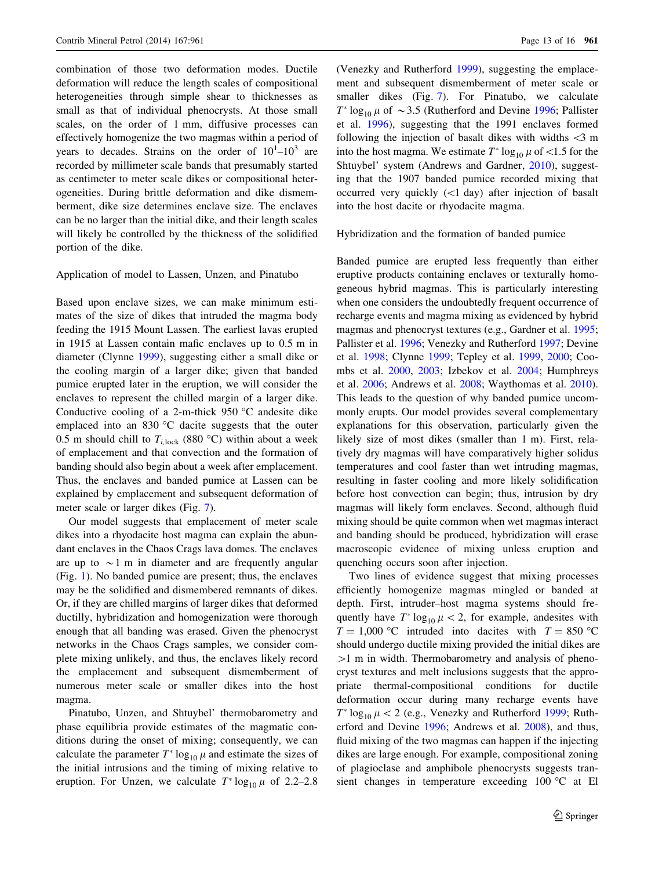combination of those two deformation modes. Ductile deformation will reduce the length scales of compositional heterogeneities through simple shear to thicknesses as small as that of individual phenocrysts. At those small scales, on the order of 1 mm, diffusive processes can effectively homogenize the two magmas within a period of years to decades. Strains on the order of  $10^{1}$ – $10^{3}$  are recorded by millimeter scale bands that presumably started as centimeter to meter scale dikes or compositional heterogeneities. During brittle deformation and dike dismemberment, dike size determines enclave size. The enclaves can be no larger than the initial dike, and their length scales will likely be controlled by the thickness of the solidified portion of the dike.

# Application of model to Lassen, Unzen, and Pinatubo

Based upon enclave sizes, we can make minimum estimates of the size of dikes that intruded the magma body feeding the 1915 Mount Lassen. The earliest lavas erupted in 1915 at Lassen contain mafic enclaves up to 0.5 m in diameter (Clynne [1999](#page-14-0)), suggesting either a small dike or the cooling margin of a larger dike; given that banded pumice erupted later in the eruption, we will consider the enclaves to represent the chilled margin of a larger dike. Conductive cooling of a 2-m-thick  $950$  °C andesite dike emplaced into an  $830 \degree C$  dacite suggests that the outer 0.5 m should chill to  $T_{i, \text{lock}}$  (880 °C) within about a week of emplacement and that convection and the formation of banding should also begin about a week after emplacement. Thus, the enclaves and banded pumice at Lassen can be explained by emplacement and subsequent deformation of meter scale or larger dikes (Fig. [7\)](#page-10-0).

Our model suggests that emplacement of meter scale dikes into a rhyodacite host magma can explain the abundant enclaves in the Chaos Crags lava domes. The enclaves are up to  $\sim$ 1 m in diameter and are frequently angular (Fig. [1](#page-2-0)). No banded pumice are present; thus, the enclaves may be the solidified and dismembered remnants of dikes. Or, if they are chilled margins of larger dikes that deformed ductilly, hybridization and homogenization were thorough enough that all banding was erased. Given the phenocryst networks in the Chaos Crags samples, we consider complete mixing unlikely, and thus, the enclaves likely record the emplacement and subsequent dismemberment of numerous meter scale or smaller dikes into the host magma.

Pinatubo, Unzen, and Shtuybel' thermobarometry and phase equilibria provide estimates of the magmatic conditions during the onset of mixing; consequently, we can calculate the parameter  $T^* \log_{10} \mu$  and estimate the sizes of the initial intrusions and the timing of mixing relative to eruption. For Unzen, we calculate  $T^* \log_{10} \mu$  of 2.2–2.8 (Venezky and Rutherford [1999\)](#page-15-0), suggesting the emplacement and subsequent dismemberment of meter scale or smaller dikes (Fig. [7\)](#page-10-0). For Pinatubo, we calculate  $T^* \log_{10} \mu$  of  $\sim 3.5$  (Rutherford and Devine [1996](#page-15-0); Pallister et al. [1996\)](#page-14-0), suggesting that the 1991 enclaves formed following the injection of basalt dikes with widths  $\langle 3 \rangle$  m into the host magma. We estimate  $T^* \log_{10} \mu$  of <1.5 for the Shtuybel' system (Andrews and Gardner, [2010](#page-13-0)), suggesting that the 1907 banded pumice recorded mixing that occurred very quickly (\1 day) after injection of basalt into the host dacite or rhyodacite magma.

Hybridization and the formation of banded pumice

Banded pumice are erupted less frequently than either eruptive products containing enclaves or texturally homogeneous hybrid magmas. This is particularly interesting when one considers the undoubtedly frequent occurrence of recharge events and magma mixing as evidenced by hybrid magmas and phenocryst textures (e.g., Gardner et al. [1995](#page-14-0); Pallister et al. [1996](#page-14-0); Venezky and Rutherford [1997](#page-15-0); Devine et al. [1998](#page-14-0); Clynne [1999](#page-14-0); Tepley et al. [1999,](#page-15-0) [2000;](#page-15-0) Coombs et al. [2000](#page-14-0), [2003](#page-14-0); Izbekov et al. [2004](#page-14-0); Humphreys et al. [2006;](#page-14-0) Andrews et al. [2008](#page-13-0); Waythomas et al. [2010](#page-15-0)). This leads to the question of why banded pumice uncommonly erupts. Our model provides several complementary explanations for this observation, particularly given the likely size of most dikes (smaller than 1 m). First, relatively dry magmas will have comparatively higher solidus temperatures and cool faster than wet intruding magmas, resulting in faster cooling and more likely solidification before host convection can begin; thus, intrusion by dry magmas will likely form enclaves. Second, although fluid mixing should be quite common when wet magmas interact and banding should be produced, hybridization will erase macroscopic evidence of mixing unless eruption and quenching occurs soon after injection.

Two lines of evidence suggest that mixing processes efficiently homogenize magmas mingled or banded at depth. First, intruder–host magma systems should frequently have  $T^* \log_{10} \mu < 2$ , for example, andesites with  $T = 1,000$  °C intruded into dacites with  $T = 850$  °C should undergo ductile mixing provided the initial dikes are  $>1$  m in width. Thermobarometry and analysis of phenocryst textures and melt inclusions suggests that the appropriate thermal-compositional conditions for ductile deformation occur during many recharge events have  $T^* \log_{10} \mu < 2$  (e.g., Venezky and Rutherford [1999](#page-15-0); Rutherford and Devine [1996;](#page-15-0) Andrews et al. [2008](#page-13-0)), and thus, fluid mixing of the two magmas can happen if the injecting dikes are large enough. For example, compositional zoning of plagioclase and amphibole phenocrysts suggests transient changes in temperature exceeding 100 °C at El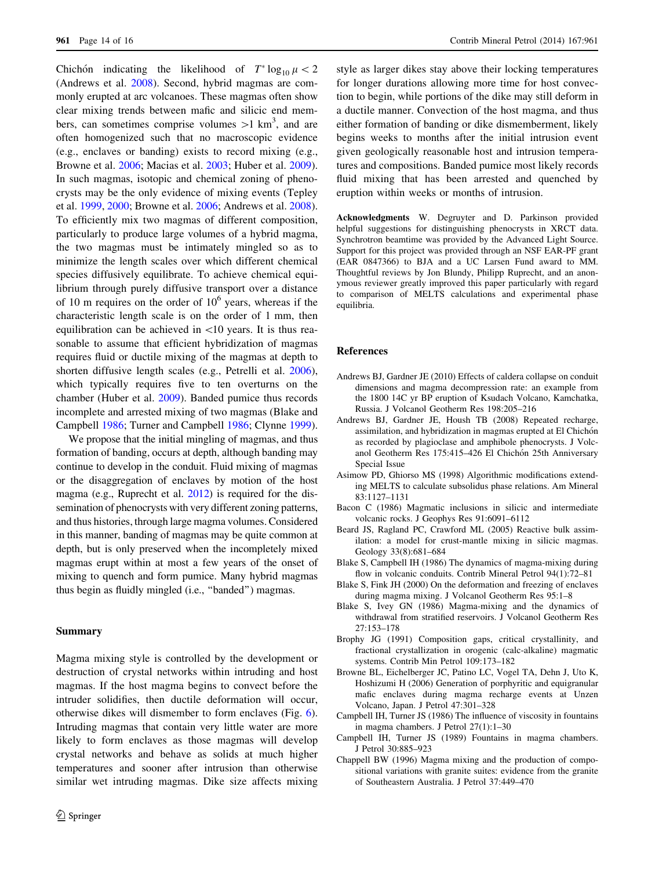<span id="page-13-0"></span>Chichón indicating the likelihood of  $T^* \log_{10} \mu < 2$ (Andrews et al. 2008). Second, hybrid magmas are commonly erupted at arc volcanoes. These magmas often show clear mixing trends between mafic and silicic end members, can sometimes comprise volumes  $>1$  km<sup>3</sup>, and are often homogenized such that no macroscopic evidence (e.g., enclaves or banding) exists to record mixing (e.g., Browne et al. 2006; Macias et al. [2003;](#page-14-0) Huber et al. [2009](#page-14-0)). In such magmas, isotopic and chemical zoning of phenocrysts may be the only evidence of mixing events (Tepley et al. [1999,](#page-15-0) [2000](#page-15-0); Browne et al. 2006; Andrews et al. 2008). To efficiently mix two magmas of different composition, particularly to produce large volumes of a hybrid magma, the two magmas must be intimately mingled so as to minimize the length scales over which different chemical species diffusively equilibrate. To achieve chemical equilibrium through purely diffusive transport over a distance of 10 m requires on the order of  $10^6$  years, whereas if the characteristic length scale is on the order of 1 mm, then equilibration can be achieved in  $\langle 10 \rangle$  years. It is thus reasonable to assume that efficient hybridization of magmas requires fluid or ductile mixing of the magmas at depth to shorten diffusive length scales (e.g., Petrelli et al. [2006](#page-15-0)), which typically requires five to ten overturns on the chamber (Huber et al. [2009](#page-14-0)). Banded pumice thus records incomplete and arrested mixing of two magmas (Blake and Campbell 1986; Turner and Campbell [1986](#page-15-0); Clynne [1999](#page-14-0)).

We propose that the initial mingling of magmas, and thus formation of banding, occurs at depth, although banding may continue to develop in the conduit. Fluid mixing of magmas or the disaggregation of enclaves by motion of the host magma (e.g., Ruprecht et al. [2012](#page-15-0)) is required for the dissemination of phenocrysts with very different zoning patterns, and thus histories, through large magma volumes. Considered in this manner, banding of magmas may be quite common at depth, but is only preserved when the incompletely mixed magmas erupt within at most a few years of the onset of mixing to quench and form pumice. Many hybrid magmas thus begin as fluidly mingled (i.e., ''banded'') magmas.

#### Summary

Magma mixing style is controlled by the development or destruction of crystal networks within intruding and host magmas. If the host magma begins to convect before the intruder solidifies, then ductile deformation will occur, otherwise dikes will dismember to form enclaves (Fig. [6](#page-9-0)). Intruding magmas that contain very little water are more likely to form enclaves as those magmas will develop crystal networks and behave as solids at much higher temperatures and sooner after intrusion than otherwise similar wet intruding magmas. Dike size affects mixing style as larger dikes stay above their locking temperatures for longer durations allowing more time for host convection to begin, while portions of the dike may still deform in a ductile manner. Convection of the host magma, and thus either formation of banding or dike dismemberment, likely begins weeks to months after the initial intrusion event given geologically reasonable host and intrusion temperatures and compositions. Banded pumice most likely records fluid mixing that has been arrested and quenched by eruption within weeks or months of intrusion.

Acknowledgments W. Degruyter and D. Parkinson provided helpful suggestions for distinguishing phenocrysts in XRCT data. Synchrotron beamtime was provided by the Advanced Light Source. Support for this project was provided through an NSF EAR-PF grant (EAR 0847366) to BJA and a UC Larsen Fund award to MM. Thoughtful reviews by Jon Blundy, Philipp Ruprecht, and an anonymous reviewer greatly improved this paper particularly with regard to comparison of MELTS calculations and experimental phase equilibria.

#### References

- Andrews BJ, Gardner JE (2010) Effects of caldera collapse on conduit dimensions and magma decompression rate: an example from the 1800 14C yr BP eruption of Ksudach Volcano, Kamchatka, Russia. J Volcanol Geotherm Res 198:205–216
- Andrews BJ, Gardner JE, Housh TB (2008) Repeated recharge, assimilation, and hybridization in magmas erupted at El Chichón as recorded by plagioclase and amphibole phenocrysts. J Volcanol Geotherm Res 175:415-426 El Chichón 25th Anniversary Special Issue
- Asimow PD, Ghiorso MS (1998) Algorithmic modifications extending MELTS to calculate subsolidus phase relations. Am Mineral 83:1127–1131
- Bacon C (1986) Magmatic inclusions in silicic and intermediate volcanic rocks. J Geophys Res 91:6091–6112
- Beard JS, Ragland PC, Crawford ML (2005) Reactive bulk assimilation: a model for crust-mantle mixing in silicic magmas. Geology 33(8):681–684
- Blake S, Campbell IH (1986) The dynamics of magma-mixing during flow in volcanic conduits. Contrib Mineral Petrol 94(1):72–81
- Blake S, Fink JH (2000) On the deformation and freezing of enclaves during magma mixing. J Volcanol Geotherm Res 95:1–8
- Blake S, Ivey GN (1986) Magma-mixing and the dynamics of withdrawal from stratified reservoirs. J Volcanol Geotherm Res 27:153–178
- Brophy JG (1991) Composition gaps, critical crystallinity, and fractional crystallization in orogenic (calc-alkaline) magmatic systems. Contrib Min Petrol 109:173–182
- Browne BL, Eichelberger JC, Patino LC, Vogel TA, Dehn J, Uto K, Hoshizumi H (2006) Generation of porphyritic and equigranular mafic enclaves during magma recharge events at Unzen Volcano, Japan. J Petrol 47:301–328
- Campbell IH, Turner JS (1986) The influence of viscosity in fountains in magma chambers. J Petrol 27(1):1–30
- Campbell IH, Turner JS (1989) Fountains in magma chambers. J Petrol 30:885–923
- Chappell BW (1996) Magma mixing and the production of compositional variations with granite suites: evidence from the granite of Southeastern Australia. J Petrol 37:449–470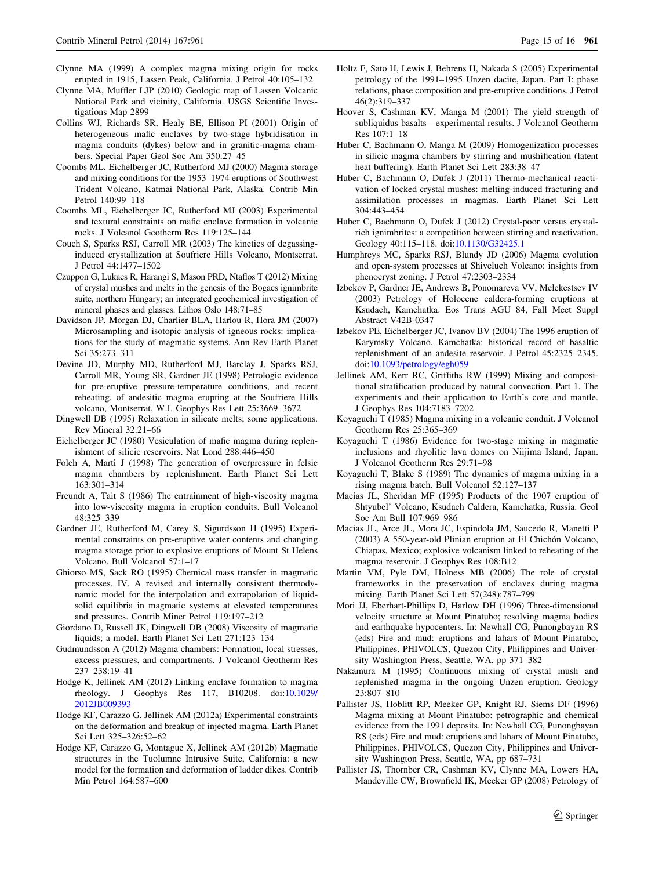- <span id="page-14-0"></span>Clynne MA (1999) A complex magma mixing origin for rocks erupted in 1915, Lassen Peak, California. J Petrol 40:105–132
- Clynne MA, Muffler LJP (2010) Geologic map of Lassen Volcanic National Park and vicinity, California. USGS Scientific Investigations Map 2899
- Collins WJ, Richards SR, Healy BE, Ellison PI (2001) Origin of heterogeneous mafic enclaves by two-stage hybridisation in magma conduits (dykes) below and in granitic-magma chambers. Special Paper Geol Soc Am 350:27–45
- Coombs ML, Eichelberger JC, Rutherford MJ (2000) Magma storage and mixing conditions for the 1953–1974 eruptions of Southwest Trident Volcano, Katmai National Park, Alaska. Contrib Min Petrol 140:99–118
- Coombs ML, Eichelberger JC, Rutherford MJ (2003) Experimental and textural constraints on mafic enclave formation in volcanic rocks. J Volcanol Geotherm Res 119:125–144
- Couch S, Sparks RSJ, Carroll MR (2003) The kinetics of degassinginduced crystallization at Soufriere Hills Volcano, Montserrat. J Petrol 44:1477–1502
- Czuppon G, Lukacs R, Harangi S, Mason PRD, Ntaflos T (2012) Mixing of crystal mushes and melts in the genesis of the Bogacs ignimbrite suite, northern Hungary; an integrated geochemical investigation of mineral phases and glasses. Lithos Oslo 148:71–85
- Davidson JP, Morgan DJ, Charlier BLA, Harlou R, Hora JM (2007) Microsampling and isotopic analysis of igneous rocks: implications for the study of magmatic systems. Ann Rev Earth Planet Sci 35:273–311
- Devine JD, Murphy MD, Rutherford MJ, Barclay J, Sparks RSJ, Carroll MR, Young SR, Gardner JE (1998) Petrologic evidence for pre-eruptive pressure-temperature conditions, and recent reheating, of andesitic magma erupting at the Soufriere Hills volcano, Montserrat, W.I. Geophys Res Lett 25:3669–3672
- Dingwell DB (1995) Relaxation in silicate melts; some applications. Rev Mineral 32:21–66
- Eichelberger JC (1980) Vesiculation of mafic magma during replenishment of silicic reservoirs. Nat Lond 288:446–450
- Folch A, Marti J (1998) The generation of overpressure in felsic magma chambers by replenishment. Earth Planet Sci Lett 163:301–314
- Freundt A, Tait S (1986) The entrainment of high-viscosity magma into low-viscosity magma in eruption conduits. Bull Volcanol 48:325–339
- Gardner JE, Rutherford M, Carey S, Sigurdsson H (1995) Experimental constraints on pre-eruptive water contents and changing magma storage prior to explosive eruptions of Mount St Helens Volcano. Bull Volcanol 57:1–17
- Ghiorso MS, Sack RO (1995) Chemical mass transfer in magmatic processes. IV. A revised and internally consistent thermodynamic model for the interpolation and extrapolation of liquidsolid equilibria in magmatic systems at elevated temperatures and pressures. Contrib Miner Petrol 119:197–212
- Giordano D, Russell JK, Dingwell DB (2008) Viscosity of magmatic liquids; a model. Earth Planet Sci Lett 271:123–134
- Gudmundsson A (2012) Magma chambers: Formation, local stresses, excess pressures, and compartments. J Volcanol Geotherm Res 237–238:19–41
- Hodge K, Jellinek AM (2012) Linking enclave formation to magma rheology. J Geophys Res 117, B10208. doi[:10.1029/](http://dx.doi.org/10.1029/2012JB009393) [2012JB009393](http://dx.doi.org/10.1029/2012JB009393)
- Hodge KF, Carazzo G, Jellinek AM (2012a) Experimental constraints on the deformation and breakup of injected magma. Earth Planet Sci Lett 325–326:52–62
- Hodge KF, Carazzo G, Montague X, Jellinek AM (2012b) Magmatic structures in the Tuolumne Intrusive Suite, California: a new model for the formation and deformation of ladder dikes. Contrib Min Petrol 164:587–600
- Holtz F, Sato H, Lewis J, Behrens H, Nakada S (2005) Experimental petrology of the 1991–1995 Unzen dacite, Japan. Part I: phase relations, phase composition and pre-eruptive conditions. J Petrol 46(2):319–337
- Hoover S, Cashman KV, Manga M (2001) The yield strength of subliquidus basalts—experimental results. J Volcanol Geotherm Res 107:1–18
- Huber C, Bachmann O, Manga M (2009) Homogenization processes in silicic magma chambers by stirring and mushification (latent heat buffering). Earth Planet Sci Lett 283:38–47
- Huber C, Bachmann O, Dufek J (2011) Thermo-mechanical reactivation of locked crystal mushes: melting-induced fracturing and assimilation processes in magmas. Earth Planet Sci Lett 304:443–454
- Huber C, Bachmann O, Dufek J (2012) Crystal-poor versus crystalrich ignimbrites: a competition between stirring and reactivation. Geology 40:115–118. doi:[10.1130/G32425.1](http://dx.doi.org/10.1130/G32425.1)
- Humphreys MC, Sparks RSJ, Blundy JD (2006) Magma evolution and open-system processes at Shiveluch Volcano: insights from phenocryst zoning. J Petrol 47:2303–2334
- Izbekov P, Gardner JE, Andrews B, Ponomareva VV, Melekestsev IV (2003) Petrology of Holocene caldera-forming eruptions at Ksudach, Kamchatka. Eos Trans AGU 84, Fall Meet Suppl Abstract V42B-0347
- Izbekov PE, Eichelberger JC, Ivanov BV (2004) The 1996 eruption of Karymsky Volcano, Kamchatka: historical record of basaltic replenishment of an andesite reservoir. J Petrol 45:2325–2345. doi[:10.1093/petrology/egh059](http://dx.doi.org/10.1093/petrology/egh059)
- Jellinek AM, Kerr RC, Griffiths RW (1999) Mixing and compositional stratification produced by natural convection. Part 1. The experiments and their application to Earth's core and mantle. J Geophys Res 104:7183–7202
- Koyaguchi T (1985) Magma mixing in a volcanic conduit. J Volcanol Geotherm Res 25:365–369
- Koyaguchi T (1986) Evidence for two-stage mixing in magmatic inclusions and rhyolitic lava domes on Niijima Island, Japan. J Volcanol Geotherm Res 29:71–98
- Koyaguchi T, Blake S (1989) The dynamics of magma mixing in a rising magma batch. Bull Volcanol 52:127–137
- Macias JL, Sheridan MF (1995) Products of the 1907 eruption of Shtyubel' Volcano, Ksudach Caldera, Kamchatka, Russia. Geol Soc Am Bull 107:969–986
- Macias JL, Arce JL, Mora JC, Espindola JM, Saucedo R, Manetti P (2003) A 550-year-old Plinian eruption at El Chichón Volcano, Chiapas, Mexico; explosive volcanism linked to reheating of the magma reservoir. J Geophys Res 108:B12
- Martin VM, Pyle DM, Holness MB (2006) The role of crystal frameworks in the preservation of enclaves during magma mixing. Earth Planet Sci Lett 57(248):787–799
- Mori JJ, Eberhart-Phillips D, Harlow DH (1996) Three-dimensional velocity structure at Mount Pinatubo; resolving magma bodies and earthquake hypocenters. In: Newhall CG, Punongbayan RS (eds) Fire and mud: eruptions and lahars of Mount Pinatubo, Philippines. PHIVOLCS, Quezon City, Philippines and University Washington Press, Seattle, WA, pp 371–382
- Nakamura M (1995) Continuous mixing of crystal mush and replenished magma in the ongoing Unzen eruption. Geology 23:807–810
- Pallister JS, Hoblitt RP, Meeker GP, Knight RJ, Siems DF (1996) Magma mixing at Mount Pinatubo: petrographic and chemical evidence from the 1991 deposits. In: Newhall CG, Punongbayan RS (eds) Fire and mud: eruptions and lahars of Mount Pinatubo, Philippines. PHIVOLCS, Quezon City, Philippines and University Washington Press, Seattle, WA, pp 687–731
- Pallister JS, Thornber CR, Cashman KV, Clynne MA, Lowers HA, Mandeville CW, Brownfield IK, Meeker GP (2008) Petrology of